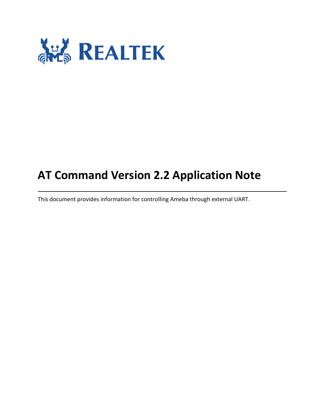

# **AT Command Version 2.2 Application Note**

This document provides information for controlling Ameba through external UART.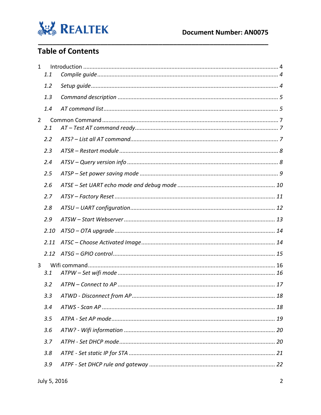

#### **Table of Contents**

| $\mathbf{1}$   |      |  |  |  |
|----------------|------|--|--|--|
|                | 1.1  |  |  |  |
|                | 1.2  |  |  |  |
|                | 1.3  |  |  |  |
|                | 1.4  |  |  |  |
| $\overline{2}$ | 2.1  |  |  |  |
|                | 2.2  |  |  |  |
|                | 2.3  |  |  |  |
|                | 2.4  |  |  |  |
|                | 2.5  |  |  |  |
|                | 2.6  |  |  |  |
|                | 2.7  |  |  |  |
|                | 2.8  |  |  |  |
|                | 2.9  |  |  |  |
|                | 2.10 |  |  |  |
|                | 2.11 |  |  |  |
|                | 2.12 |  |  |  |
| 3              | 3.1  |  |  |  |
|                | 3.2  |  |  |  |
|                | 3.3  |  |  |  |
|                | 3.4  |  |  |  |
|                | 3.5  |  |  |  |
|                | 3.6  |  |  |  |
|                | 3.7  |  |  |  |
|                | 3.8  |  |  |  |
|                | 3.9  |  |  |  |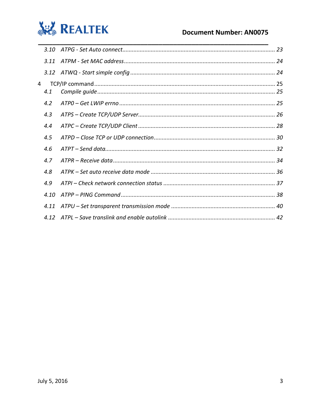

|                | 3.10 |  |
|----------------|------|--|
|                | 3.11 |  |
|                |      |  |
| $\overline{4}$ | 4.1  |  |
|                | 4.2  |  |
|                | 4.3  |  |
|                | 4.4  |  |
|                | 4.5  |  |
|                | 4.6  |  |
|                | 4.7  |  |
|                | 4.8  |  |
|                | 4.9  |  |
|                | 4.10 |  |
|                | 4.11 |  |
|                | 4.12 |  |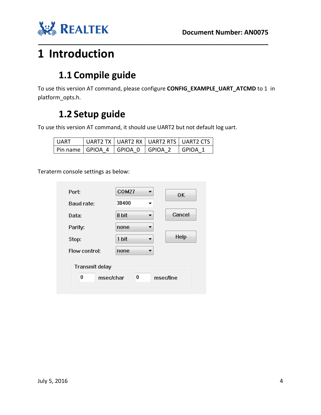



# <span id="page-3-1"></span><span id="page-3-0"></span>**1 Introduction**

# **1.1 Compile guide**

To use this version AT command, please configure **CONFIG\_EXAMPLE\_UART\_ATCMD** to 1 in platform\_opts.h.

**\_\_\_\_\_\_\_\_\_\_\_\_\_\_\_\_\_\_\_\_\_\_\_\_\_\_\_\_\_\_\_\_\_\_\_\_\_\_\_\_\_\_\_\_\_\_\_\_\_\_\_\_\_\_\_\_\_\_\_\_\_\_\_**

## **1.2 Setup guide**

<span id="page-3-2"></span>To use this version AT command, it should use UART2 but not default log uart.

| I UART |                                        | UART2 TX   UART2 RX   UART2 RTS   UART2 CTS |           |
|--------|----------------------------------------|---------------------------------------------|-----------|
|        | Pin name   GPIOA 4   GPIOA 0   GPIOA 2 |                                             | I GPIOA 1 |

Teraterm console settings as below:

| Port:                                                     | COM27<br>OΚ     |  |  |
|-----------------------------------------------------------|-----------------|--|--|
| Baud rate:                                                | 38400           |  |  |
| Data:                                                     | Cancel<br>8 bit |  |  |
| Parity:                                                   | none            |  |  |
| Stop:                                                     | Help<br>1 bit   |  |  |
| Flow control:                                             | none            |  |  |
| <b>Transmit delay</b><br>0<br>0<br>msec/char<br>msec/line |                 |  |  |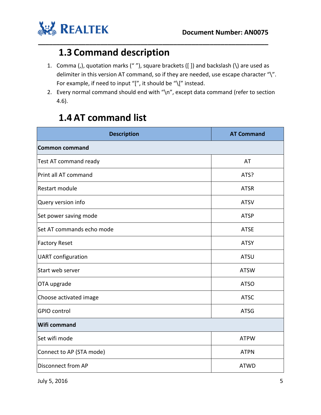

#### **1.3 Command description**

1. Comma (,), quotation marks (" "), square brackets ([ ]) and backslash (\) are used as delimiter in this version AT command, so if they are needed, use escape character "\". For example, if need to input "[", it should be "\[" instead.

<span id="page-4-0"></span>**\_\_\_\_\_\_\_\_\_\_\_\_\_\_\_\_\_\_\_\_\_\_\_\_\_\_\_\_\_\_\_\_\_\_\_\_\_\_\_\_\_\_\_\_\_\_\_\_\_\_\_\_\_\_\_\_\_\_\_\_\_\_\_**

2. Every normal command should end with "\n", except data command (refer to section 4.6).

#### **1.4 AT command list**

<span id="page-4-1"></span>

| <b>Description</b>        | <b>AT Command</b> |  |
|---------------------------|-------------------|--|
| <b>Common command</b>     |                   |  |
| Test AT command ready     | AT                |  |
| Print all AT command      | ATS?              |  |
| Restart module            | <b>ATSR</b>       |  |
| Query version info        | <b>ATSV</b>       |  |
| Set power saving mode     | <b>ATSP</b>       |  |
| Set AT commands echo mode | <b>ATSE</b>       |  |
| <b>Factory Reset</b>      | <b>ATSY</b>       |  |
| <b>UART</b> configuration | <b>ATSU</b>       |  |
| Start web server          | <b>ATSW</b>       |  |
| OTA upgrade               | <b>ATSO</b>       |  |
| Choose activated image    | <b>ATSC</b>       |  |
| <b>GPIO</b> control       | <b>ATSG</b>       |  |
| <b>Wifi command</b>       |                   |  |
| Set wifi mode             | <b>ATPW</b>       |  |
| Connect to AP (STA mode)  | <b>ATPN</b>       |  |
| <b>Disconnect from AP</b> | <b>ATWD</b>       |  |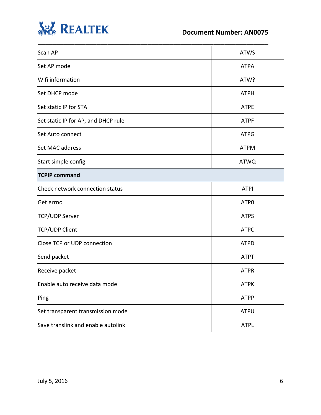

#### **Document Number: AN0075**

| Scan AP                             | <b>ATWS</b>      |
|-------------------------------------|------------------|
| Set AP mode                         | <b>ATPA</b>      |
| Wifi information                    | ATW?             |
| Set DHCP mode                       | <b>ATPH</b>      |
| Set static IP for STA               | <b>ATPE</b>      |
| Set static IP for AP, and DHCP rule | <b>ATPF</b>      |
| Set Auto connect                    | <b>ATPG</b>      |
| Set MAC address                     | <b>ATPM</b>      |
| Start simple config                 | <b>ATWQ</b>      |
| <b>TCPIP command</b>                |                  |
| Check network connection status     | <b>ATPI</b>      |
| Get errno                           | ATP <sub>0</sub> |
| <b>TCP/UDP Server</b>               | <b>ATPS</b>      |
| <b>TCP/UDP Client</b>               | <b>ATPC</b>      |
| Close TCP or UDP connection         | <b>ATPD</b>      |
| Send packet                         | <b>ATPT</b>      |
| Receive packet                      | <b>ATPR</b>      |
| Enable auto receive data mode       | <b>ATPK</b>      |
| Ping                                | <b>ATPP</b>      |
| Set transparent transmission mode   | <b>ATPU</b>      |
| Save translink and enable autolink  | <b>ATPL</b>      |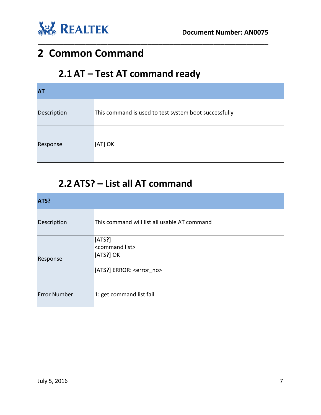

# <span id="page-6-1"></span><span id="page-6-0"></span>**2 Common Command**

### **2.1 AT – Test AT command ready**

| <b>AT</b>   |                                                       |  |
|-------------|-------------------------------------------------------|--|
| Description | This command is used to test system boot successfully |  |
| Response    | [[AT] OK                                              |  |

**\_\_\_\_\_\_\_\_\_\_\_\_\_\_\_\_\_\_\_\_\_\_\_\_\_\_\_\_\_\_\_\_\_\_\_\_\_\_\_\_\_\_\_\_\_\_\_\_\_\_\_\_\_\_\_\_\_\_\_\_\_\_\_**

#### **2.2 ATS? – List all AT command**

<span id="page-6-2"></span>

| ATS?                |                                                                                   |  |  |
|---------------------|-----------------------------------------------------------------------------------|--|--|
| Description         | This command will list all usable AT command                                      |  |  |
| Response            | [ATS?]<br><command list=""/><br>[[ATS?] OK<br>[ATS?] ERROR: <error no=""></error> |  |  |
| <b>Error Number</b> | 1: get command list fail                                                          |  |  |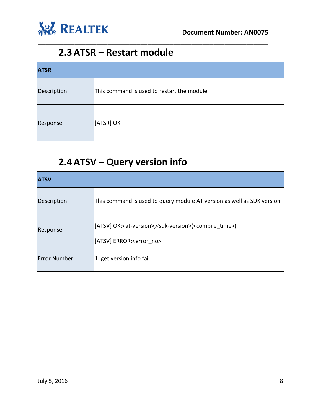

#### **2.3 ATSR – Restart module**

| <b>ATSR</b> |                                            |  |
|-------------|--------------------------------------------|--|
| Description | This command is used to restart the module |  |
| Response    | [ATSR] OK                                  |  |

<span id="page-7-0"></span>**\_\_\_\_\_\_\_\_\_\_\_\_\_\_\_\_\_\_\_\_\_\_\_\_\_\_\_\_\_\_\_\_\_\_\_\_\_\_\_\_\_\_\_\_\_\_\_\_\_\_\_\_\_\_\_\_\_\_\_\_\_\_\_**

### **2.4 ATSV – Query version info**

<span id="page-7-1"></span>

| <b>ATSV</b>         |                                                                                                |  |  |  |
|---------------------|------------------------------------------------------------------------------------------------|--|--|--|
| Description         | This command is used to query module AT version as well as SDK version                         |  |  |  |
| Response            | [[ATSV] OK: <at-version>,<sdk-version>(<compile time="">)</compile></sdk-version></at-version> |  |  |  |
|                     | [ATSV] ERROR: <error no=""></error>                                                            |  |  |  |
| <b>Error Number</b> | 1: get version info fail                                                                       |  |  |  |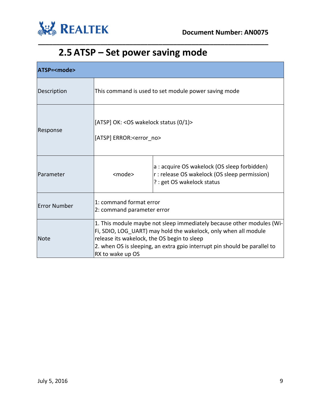

# **2.5 ATSP – Set power saving mode**

<span id="page-8-0"></span>

| ATSP= <mode></mode> |                                                                               |                                                                                                                                                                                                                       |  |  |
|---------------------|-------------------------------------------------------------------------------|-----------------------------------------------------------------------------------------------------------------------------------------------------------------------------------------------------------------------|--|--|
| Description         | This command is used to set module power saving mode                          |                                                                                                                                                                                                                       |  |  |
| Response            | [ATSP] OK: < OS wakelock status (0/1)><br>[ATSP] ERROR: <error no=""></error> |                                                                                                                                                                                                                       |  |  |
| Parameter           | <mode></mode>                                                                 | a : acquire OS wakelock (OS sleep forbidden)<br>r: release OS wakelock (OS sleep permission)<br>? : get OS wakelock status                                                                                            |  |  |
| <b>Error Number</b> | 1: command format error<br>2: command parameter error                         |                                                                                                                                                                                                                       |  |  |
| Note                | release its wakelock, the OS begin to sleep<br>RX to wake up OS               | 1. This module maybe not sleep immediately because other modules (Wi-<br>Fi, SDIO, LOG UART) may hold the wakelock, only when all module<br>2. when OS is sleeping, an extra gpio interrupt pin should be parallel to |  |  |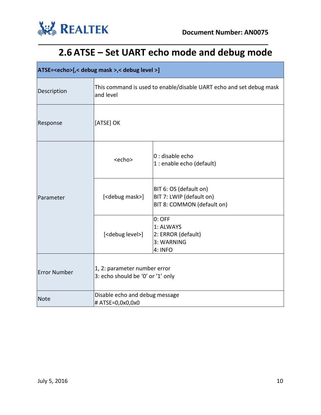

# **2.6 ATSE – Set UART echo mode and debug mode**

<span id="page-9-0"></span>

| ATSE= <echo>[,&lt; debug mask &gt;,&lt; debug level &gt;]</echo> |                                                                                  |                                                                                  |  |
|------------------------------------------------------------------|----------------------------------------------------------------------------------|----------------------------------------------------------------------------------|--|
| Description                                                      | This command is used to enable/disable UART echo and set debug mask<br>and level |                                                                                  |  |
| Response                                                         | [ATSE] OK                                                                        |                                                                                  |  |
|                                                                  | <echo></echo>                                                                    | 0 : disable echo<br>1 : enable echo (default)                                    |  |
| Parameter                                                        | [ <debug mask="">]</debug>                                                       | BIT 6: OS (default on)<br>BIT 7: LWIP (default on)<br>BIT 8: COMMON (default on) |  |
|                                                                  | [ <debug level="">]</debug>                                                      | $0:$ OFF<br>1: ALWAYS<br>2: ERROR (default)<br>3: WARNING<br>4: INFO             |  |
| <b>Error Number</b>                                              | 1, 2: parameter number error<br>3: echo should be '0' or '1' only                |                                                                                  |  |
| Note                                                             | Disable echo and debug message<br># ATSE=0,0x0,0x0                               |                                                                                  |  |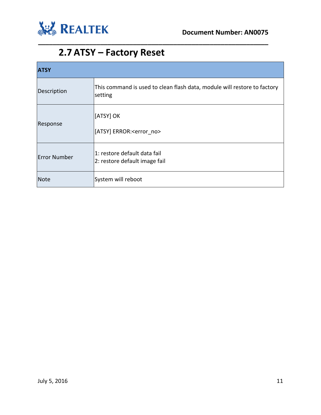

### **2.7 ATSY – Factory Reset**

<span id="page-10-0"></span>

| <b>ATSY</b>         |                                                                                     |  |
|---------------------|-------------------------------------------------------------------------------------|--|
| Description         | This command is used to clean flash data, module will restore to factory<br>setting |  |
| Response            | [ATSY] OK<br>[ATSY] ERROR: <error no=""></error>                                    |  |
| <b>Error Number</b> | l1: restore default data fail<br>2: restore default image fail                      |  |
| <b>Note</b>         | System will reboot                                                                  |  |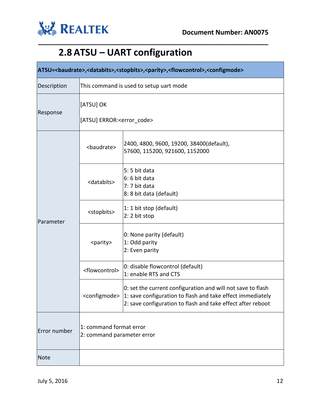

# **2.8 ATSU – UART configuration**

<span id="page-11-0"></span>

| ATSU=<br>baudrate>, <databits>,<stopbits>,<parity>,<flowcontrol>,<configmode></configmode></flowcontrol></parity></stopbits></databits> |                                                       |                                                                                                                                                                                                                      |  |
|-----------------------------------------------------------------------------------------------------------------------------------------|-------------------------------------------------------|----------------------------------------------------------------------------------------------------------------------------------------------------------------------------------------------------------------------|--|
| Description                                                                                                                             | This command is used to setup uart mode               |                                                                                                                                                                                                                      |  |
| Response                                                                                                                                | [ATSU] OK<br>[ATSU] ERROR: <error code=""></error>    |                                                                                                                                                                                                                      |  |
| Parameter                                                                                                                               | <baudrate></baudrate>                                 | 2400, 4800, 9600, 19200, 38400(default),<br>57600, 115200, 921600, 1152000                                                                                                                                           |  |
|                                                                                                                                         | <databits></databits>                                 | 5: 5 bit data<br>6: 6 bit data<br>7: 7 bit data<br>8: 8 bit data (default)                                                                                                                                           |  |
|                                                                                                                                         | <stopbits></stopbits>                                 | 1: 1 bit stop (default)<br>2: 2 bit stop                                                                                                                                                                             |  |
|                                                                                                                                         | <parity></parity>                                     | 0: None parity (default)<br>1: Odd parity<br>2: Even parity                                                                                                                                                          |  |
|                                                                                                                                         | <flowcontrol></flowcontrol>                           | 0: disable flowcontrol (default)<br>1: enable RTS and CTS                                                                                                                                                            |  |
|                                                                                                                                         |                                                       | 0: set the current configuration and will not save to flash<br><configmode>  1: save configuration to flash and take effect immediately<br/>2: save configuration to flash and take effect after reboot</configmode> |  |
| Error number                                                                                                                            | 1: command format error<br>2: command parameter error |                                                                                                                                                                                                                      |  |
| <b>Note</b>                                                                                                                             |                                                       |                                                                                                                                                                                                                      |  |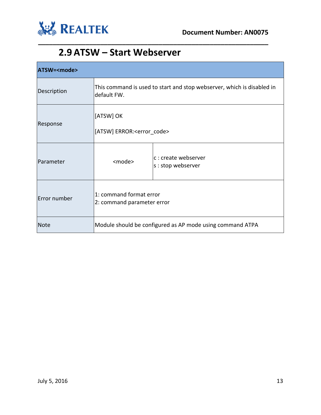

#### **2.9 ATSW – Start Webserver**

<span id="page-12-0"></span>

| ATSW= <mode></mode> |                                                       |                                                                        |
|---------------------|-------------------------------------------------------|------------------------------------------------------------------------|
| Description         | default FW.                                           | This command is used to start and stop webserver, which is disabled in |
| Response            | [ATSW] OK<br>[ATSW] ERROR: <error code=""></error>    |                                                                        |
| Parameter           | <mode></mode>                                         | c : create webserver<br>s : stop webserver                             |
| Error number        | 1: command format error<br>2: command parameter error |                                                                        |
| Note                |                                                       | Module should be configured as AP mode using command ATPA              |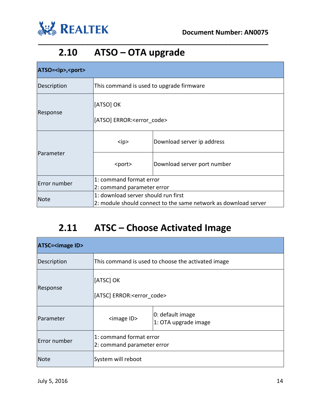

### **2.10 ATSO – OTA upgrade**

| ATSO= <ip>,<port></port></ip> |                                                                 |                             |  |
|-------------------------------|-----------------------------------------------------------------|-----------------------------|--|
| Description                   | This command is used to upgrade firmware                        |                             |  |
| Response                      | [ATSO] OK                                                       |                             |  |
|                               | [ATSO] ERROR: <error code=""></error>                           |                             |  |
| Parameter                     | $<$ ip>                                                         | Download server ip address  |  |
|                               | <port></port>                                                   | Download server port number |  |
| Error number                  | 1: command format error                                         |                             |  |
|                               | 2: command parameter error                                      |                             |  |
| Note                          | 1: download server should run first                             |                             |  |
|                               | 2: module should connect to the same network as download server |                             |  |

<span id="page-13-0"></span>**\_\_\_\_\_\_\_\_\_\_\_\_\_\_\_\_\_\_\_\_\_\_\_\_\_\_\_\_\_\_\_\_\_\_\_\_\_\_\_\_\_\_\_\_\_\_\_\_\_\_\_\_\_\_\_\_\_\_\_\_\_\_\_**

# **2.11 ATSC – Choose Activated Image**

<span id="page-13-1"></span>

| <b>ATSC=<image id=""/></b> |                                                       |                                                    |
|----------------------------|-------------------------------------------------------|----------------------------------------------------|
| Description                |                                                       | This command is used to choose the activated image |
| Response                   | [ATSC] OK<br>[ATSC] ERROR: <error_code></error_code>  |                                                    |
| Parameter                  | <image id=""/>                                        | 0: default image<br>1: OTA upgrade image           |
| Error number               | 1: command format error<br>2: command parameter error |                                                    |
| <b>Note</b>                | System will reboot                                    |                                                    |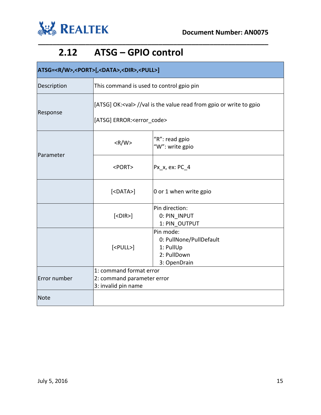

٦

### **2.12 ATSG – GPIO control**

<span id="page-14-0"></span>

| ATSG= <r w="">,<port>[,<data>,<dir>,<pull>]</pull></dir></data></port></r> |                                                                              |                                                                                  |
|----------------------------------------------------------------------------|------------------------------------------------------------------------------|----------------------------------------------------------------------------------|
| Description                                                                | This command is used to control gpio pin                                     |                                                                                  |
| Response                                                                   | [ATSG] OK: <val> //val is the value read from gpio or write to gpio</val>    |                                                                                  |
|                                                                            | [ATSG] ERROR: <error code=""></error>                                        |                                                                                  |
| Parameter                                                                  | $<$ R/W $>$                                                                  | "R": read gpio<br>"W": write gpio                                                |
|                                                                            | <port></port>                                                                | Px_x, ex: PC_4                                                                   |
|                                                                            | $[<$ DATA>]                                                                  | 0 or 1 when write gpio                                                           |
|                                                                            | $ <$ DIR> $ $                                                                | Pin direction:<br>0: PIN INPUT<br>1: PIN OUTPUT                                  |
|                                                                            | $[<$ PULL $>$ ]                                                              | Pin mode:<br>0: PullNone/PullDefault<br>1: PullUp<br>2: PullDown<br>3: OpenDrain |
| Error number                                                               | 1: command format error<br>2: command parameter error<br>3: invalid pin name |                                                                                  |
| Note                                                                       |                                                                              |                                                                                  |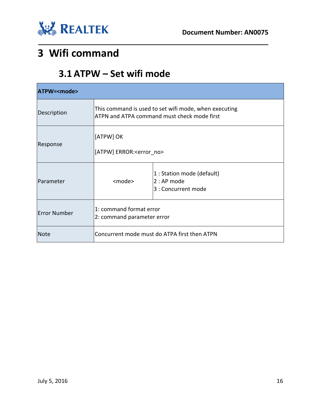



# <span id="page-15-1"></span><span id="page-15-0"></span>**3 Wifi command**

#### **3.1 ATPW – Set wifi mode**

| ATPW= <mode></mode> |                                                                                                      |                                                                  |
|---------------------|------------------------------------------------------------------------------------------------------|------------------------------------------------------------------|
| Description         | This command is used to set wifi mode, when executing<br>ATPN and ATPA command must check mode first |                                                                  |
| Response            | [ATPW] OK<br>[ATPW] ERROR: <error no=""></error>                                                     |                                                                  |
| Parameter           | <mode></mode>                                                                                        | 1 : Station mode (default)<br>$2:AP$ mode<br>3 : Concurrent mode |
| <b>Error Number</b> | 1: command format error<br>2: command parameter error                                                |                                                                  |
| <b>Note</b>         | Concurrent mode must do ATPA first then ATPN                                                         |                                                                  |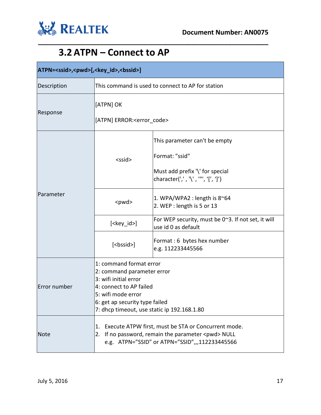

٦

### **3.2 ATPN – Connect to AP**

<span id="page-16-0"></span>

| ATPN= <ssid>,<pwd>[,<key_id>,<bssid>]</bssid></key_id></pwd></ssid> |                                                                                                                                                                                                                                                                               |                                                                                                                                                                                                                                                                                                                            |
|---------------------------------------------------------------------|-------------------------------------------------------------------------------------------------------------------------------------------------------------------------------------------------------------------------------------------------------------------------------|----------------------------------------------------------------------------------------------------------------------------------------------------------------------------------------------------------------------------------------------------------------------------------------------------------------------------|
| Description                                                         | This command is used to connect to AP for station                                                                                                                                                                                                                             |                                                                                                                                                                                                                                                                                                                            |
| Response                                                            | [ATPN] OK<br>[ATPN] ERROR: <error code=""></error>                                                                                                                                                                                                                            |                                                                                                                                                                                                                                                                                                                            |
| Parameter                                                           | $<$ ssid $>$<br><pwd><br/><math>[&lt;\text{key}_id&gt;</math><br/>[<bssid>]</bssid></pwd>                                                                                                                                                                                     | This parameter can't be empty<br>Format: "ssid"<br>Must add prefix '\' for special<br>character(',','\','"','{',']')<br>1. WPA/WPA2 : length is $8^{\sim}64$<br>2. WEP : length is 5 or 13<br>For WEP security, must be 0~3. If not set, it will<br>use id 0 as default<br>Format: 6 bytes hex number<br>e.g. 112233445566 |
| Error number                                                        | 1: command format error<br>2: command parameter error<br>3: wifi initial error<br>4: connect to AP failed<br>5: wifi mode error<br>6: get ap security type failed<br>7: dhcp timeout, use static ip 192.168.1.80<br>Execute ATPW first, must be STA or Concurrent mode.<br>1. |                                                                                                                                                                                                                                                                                                                            |
| <b>Note</b>                                                         | If no password, remain the parameter <pwd> NULL<br/>2.<br/>e.g. ATPN="SSID" or ATPN="SSID",,,112233445566</pwd>                                                                                                                                                               |                                                                                                                                                                                                                                                                                                                            |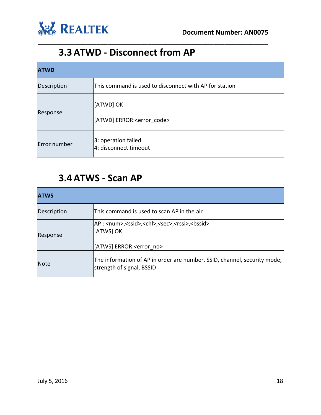

### **3.3 ATWD - Disconnect from AP**

| <b>ATWD</b>  |                                                        |  |
|--------------|--------------------------------------------------------|--|
| Description  | This command is used to disconnect with AP for station |  |
| Response     | [[ATWD] OK<br>[ATWD] ERROR: <error code=""></error>    |  |
| Error number | 3: operation failed<br>4: disconnect timeout           |  |

<span id="page-17-0"></span>**\_\_\_\_\_\_\_\_\_\_\_\_\_\_\_\_\_\_\_\_\_\_\_\_\_\_\_\_\_\_\_\_\_\_\_\_\_\_\_\_\_\_\_\_\_\_\_\_\_\_\_\_\_\_\_\_\_\_\_\_\_\_\_**

#### **3.4 ATWS - Scan AP**

<span id="page-17-1"></span>

| <b>ATWS</b> |                                                                                                                                                  |
|-------------|--------------------------------------------------------------------------------------------------------------------------------------------------|
| Description | This command is used to scan AP in the air                                                                                                       |
| Response    | AP: <num>,<ssid>,<chl>,<sec>,<rssi>,<bssid><br/><b>I</b>[ATWS] OK<br/>[ATWS] ERROR:<error no=""></error></bssid></rssi></sec></chl></ssid></num> |
| <b>Note</b> | The information of AP in order are number, SSID, channel, security mode,<br>strength of signal, BSSID                                            |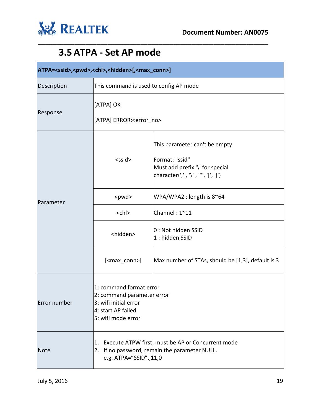

### **3.5 ATPA - Set AP mode**

<span id="page-18-0"></span>

| ATPA= <ssid>,<pwd>,<chl>,<hidden>[,<max_conn>]</max_conn></hidden></chl></pwd></ssid> |                                                                                                                            |                                                                                                                      |  |
|---------------------------------------------------------------------------------------|----------------------------------------------------------------------------------------------------------------------------|----------------------------------------------------------------------------------------------------------------------|--|
| Description                                                                           |                                                                                                                            | This command is used to config AP mode                                                                               |  |
| Response                                                                              | [ATPA] OK<br>[ATPA] ERROR: <error_no></error_no>                                                                           |                                                                                                                      |  |
|                                                                                       | $<$ ssid $>$                                                                                                               | This parameter can't be empty<br>Format: "ssid"<br>Must add prefix '\' for special<br>character(',','\','"','[',']') |  |
| Parameter                                                                             | <pwd></pwd>                                                                                                                | WPA/WPA2 : length is $8^{\circ}64$                                                                                   |  |
|                                                                                       | $<$ chl $>$                                                                                                                | Channel: 1~11                                                                                                        |  |
|                                                                                       | <hidden></hidden>                                                                                                          | 0 : Not hidden SSID<br>1: hidden SSID                                                                                |  |
|                                                                                       | [ <max_conn>]</max_conn>                                                                                                   | Max number of STAs, should be [1,3], default is 3                                                                    |  |
| Error number                                                                          | 1: command format error<br>2: command parameter error<br>3: wifi initial error<br>4: start AP failed<br>5: wifi mode error |                                                                                                                      |  |
| <b>Note</b>                                                                           | 1.<br>2.<br>e.g. ATPA="SSID",,11,0                                                                                         | Execute ATPW first, must be AP or Concurrent mode<br>If no password, remain the parameter NULL.                      |  |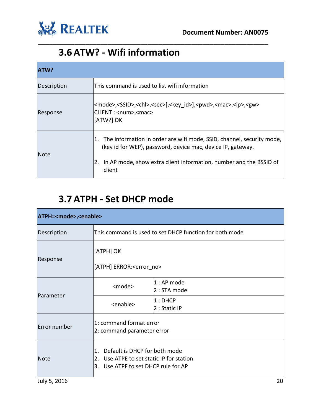

#### **3.6 ATW? - Wifi information**

| <b>ATW?</b> |                                                                                                                                                                                                                         |  |
|-------------|-------------------------------------------------------------------------------------------------------------------------------------------------------------------------------------------------------------------------|--|
| Description | This command is used to list wifi information                                                                                                                                                                           |  |
| Response    | <mode>,<ssid>,<chl>,<sec>[,<key id="">],<pwd>,<mac>,<ip>,<gw><br/>CLIENT: <num>,<mac><br/>[ATW?] OK</mac></num></gw></ip></mac></pwd></key></sec></chl></ssid></mode>                                                   |  |
| <b>Note</b> | 1. The information in order are wifi mode, SSID, channel, security mode,<br>(key id for WEP), password, device mac, device IP, gateway.<br>In AP mode, show extra client information, number and the BSSID of<br>client |  |

<span id="page-19-0"></span>**\_\_\_\_\_\_\_\_\_\_\_\_\_\_\_\_\_\_\_\_\_\_\_\_\_\_\_\_\_\_\_\_\_\_\_\_\_\_\_\_\_\_\_\_\_\_\_\_\_\_\_\_\_\_\_\_\_\_\_\_\_\_\_**

### **3.7 ATPH - Set DHCP mode**

<span id="page-19-1"></span>

| ATPH= <mode>,<enable></enable></mode> |                                                                                                                           |                             |
|---------------------------------------|---------------------------------------------------------------------------------------------------------------------------|-----------------------------|
| Description                           | This command is used to set DHCP function for both mode                                                                   |                             |
| Response                              | [ATPH] OK<br>[ATPH] ERROR: <error no=""></error>                                                                          |                             |
| <b>Parameter</b>                      | <mode></mode>                                                                                                             | 1 : AP mode<br>2 : STA mode |
|                                       | <enable></enable>                                                                                                         | $1:$ DHCP<br>2 : Static IP  |
| Error number                          | 1: command format error<br>2: command parameter error                                                                     |                             |
| Note                                  | Default is DHCP for both mode<br>1.<br>Use ATPE to set static IP for station<br>2.<br>3. Use ATPF to set DHCP rule for AP |                             |
| July 5, 2016                          |                                                                                                                           | 20                          |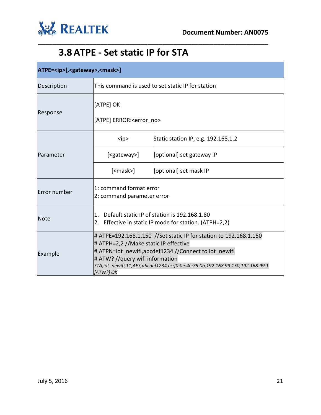

### **3.8 ATPE - Set static IP for STA**

<span id="page-20-0"></span>

| ATPE= <ip>[,<gateway>,<mask>]</mask></gateway></ip> |                                                                                                                                                                                                                                                                                                      |                                     |
|-----------------------------------------------------|------------------------------------------------------------------------------------------------------------------------------------------------------------------------------------------------------------------------------------------------------------------------------------------------------|-------------------------------------|
| Description                                         | This command is used to set static IP for station                                                                                                                                                                                                                                                    |                                     |
| Response                                            | [ATPE] OK<br>[ATPE] ERROR: <error no=""></error>                                                                                                                                                                                                                                                     |                                     |
|                                                     | $<$ ip>                                                                                                                                                                                                                                                                                              | Static station IP, e.g. 192.168.1.2 |
| Parameter                                           | [ <gateway>]</gateway>                                                                                                                                                                                                                                                                               | [optional] set gateway IP           |
|                                                     | $[<$ mask> $]$                                                                                                                                                                                                                                                                                       | [optional] set mask IP              |
| Error number                                        | 1: command format error<br>2: command parameter error                                                                                                                                                                                                                                                |                                     |
| <b>Note</b>                                         | Default static IP of station is 192.168.1.80<br>1.<br>Effective in static IP mode for station. (ATPH=2,2)<br>2.                                                                                                                                                                                      |                                     |
| Example                                             | # ATPE=192.168.1.150 //Set static IP for station to 192.168.1.150<br># ATPH=2,2 //Make static IP effective<br># ATPN=iot newifi,abcdef1234 //Connect to jot newifi<br># ATW? //query wifi information<br>STA,iot_newifi,11,AES,abcdef1234,ec:f0:0e:4e:75:0b,192.168.99.150,192.168.99.1<br>[ATW?] OK |                                     |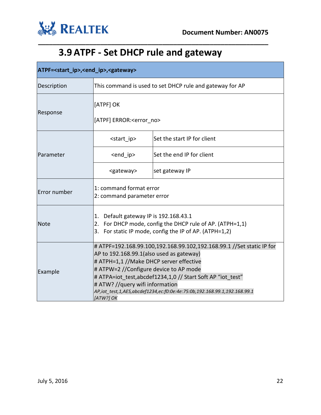

# **3.9 ATPF - Set DHCP rule and gateway**

<span id="page-21-0"></span>

| ATPF= <start_ip>,<end_ip>,<gateway></gateway></end_ip></start_ip> |                                                                                                                                                                                                                                                                                                                                                                                                    |                             |  |
|-------------------------------------------------------------------|----------------------------------------------------------------------------------------------------------------------------------------------------------------------------------------------------------------------------------------------------------------------------------------------------------------------------------------------------------------------------------------------------|-----------------------------|--|
| Description                                                       | This command is used to set DHCP rule and gateway for AP                                                                                                                                                                                                                                                                                                                                           |                             |  |
|                                                                   | [ATPF] OK                                                                                                                                                                                                                                                                                                                                                                                          |                             |  |
| Response                                                          | [ATPF] ERROR: <error no=""></error>                                                                                                                                                                                                                                                                                                                                                                |                             |  |
|                                                                   | <start ip=""></start>                                                                                                                                                                                                                                                                                                                                                                              | Set the start IP for client |  |
| Parameter                                                         | <end ip=""></end>                                                                                                                                                                                                                                                                                                                                                                                  | Set the end IP for client   |  |
|                                                                   | <gateway></gateway>                                                                                                                                                                                                                                                                                                                                                                                | set gateway IP              |  |
| Error number                                                      | 1: command format error<br>2: command parameter error                                                                                                                                                                                                                                                                                                                                              |                             |  |
| Note                                                              | Default gateway IP is 192.168.43.1<br>1.<br>2. For DHCP mode, config the DHCP rule of AP. (ATPH=1,1)<br>3. For static IP mode, config the IP of AP. (ATPH=1,2)                                                                                                                                                                                                                                     |                             |  |
| Example                                                           | # ATPF=192.168.99.100,192.168.99.102,192.168.99.1 //Set static IP for<br>AP to 192.168.99.1(also used as gateway)<br># ATPH=1,1 //Make DHCP server effective<br># ATPW=2 //Configure device to AP mode<br># ATPA=iot test, abcdef1234, 1,0 // Start Soft AP "iot test"<br># ATW? //query wifi information<br>AP,iot_test,1,AES,abcdef1234,ec:f0:0e:4e:75:0b,192.168.99.1,192.168.99.1<br>[ATW?] OK |                             |  |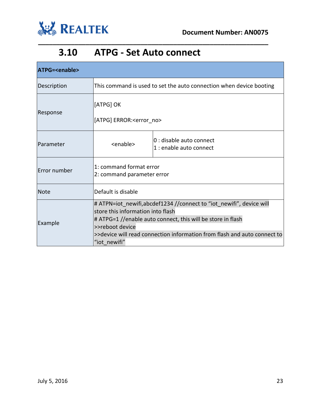

#### **3.10 ATPG - Set Auto connect**

<span id="page-22-0"></span>

| ATPG= <enable></enable> |                                                                                                                                                                                                                                                                                          |                                                     |  |
|-------------------------|------------------------------------------------------------------------------------------------------------------------------------------------------------------------------------------------------------------------------------------------------------------------------------------|-----------------------------------------------------|--|
| Description             | This command is used to set the auto connection when device booting                                                                                                                                                                                                                      |                                                     |  |
| Response                | [ATPG] OK                                                                                                                                                                                                                                                                                |                                                     |  |
|                         | [ATPG] ERROR: <error no=""></error>                                                                                                                                                                                                                                                      |                                                     |  |
| Parameter               | <enable></enable>                                                                                                                                                                                                                                                                        | 0 : disable auto connect<br>1 : enable auto connect |  |
| Error number            | 1: command format error<br>2: command parameter error                                                                                                                                                                                                                                    |                                                     |  |
| <b>Note</b>             | Default is disable                                                                                                                                                                                                                                                                       |                                                     |  |
| Example                 | # ATPN=iot newifi, abcdef1234 // connect to "iot newifi", device will<br>store this information into flash<br># ATPG=1 //enable auto connect, this will be store in flash<br>>>reboot device<br>>>device will read connection information from flash and auto connect to<br>"iot newifi" |                                                     |  |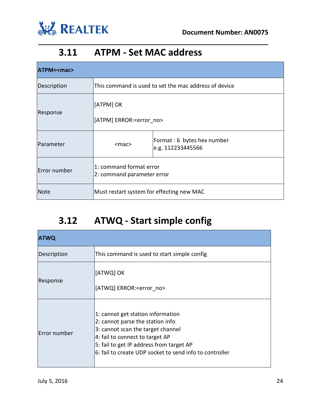

#### **3.11 ATPM - Set MAC address**

<span id="page-23-0"></span>**\_\_\_\_\_\_\_\_\_\_\_\_\_\_\_\_\_\_\_\_\_\_\_\_\_\_\_\_\_\_\_\_\_\_\_\_\_\_\_\_\_\_\_\_\_\_\_\_\_\_\_\_\_\_\_\_\_\_\_\_\_\_\_**

| ATPM= <mac></mac> |                                                       |                                                 |
|-------------------|-------------------------------------------------------|-------------------------------------------------|
| Description       | This command is used to set the mac address of device |                                                 |
| Response          | [ATPM] OK<br>[ATPM] ERROR: <error no=""></error>      |                                                 |
| Parameter         | $<$ mac $>$                                           | Format: 6 bytes hex number<br>e.g. 112233445566 |
| Error number      | 1: command format error<br>2: command parameter error |                                                 |
| Note              | Must restart system for effecting new MAC             |                                                 |

### **3.12 ATWQ - Start simple config**

<span id="page-23-1"></span>

| <b>ATWQ</b>  |                                                                                                                                                                                                                                                      |  |  |
|--------------|------------------------------------------------------------------------------------------------------------------------------------------------------------------------------------------------------------------------------------------------------|--|--|
| Description  | This command is used to start simple config                                                                                                                                                                                                          |  |  |
| Response     | [ATWQ] OK<br>[ATWQ] ERROR: <error_no></error_no>                                                                                                                                                                                                     |  |  |
| Error number | 1: cannot get station information<br>2: cannot parse the station info<br>3: cannot scan the target channel<br>4: fail to connect to target AP<br>5: fail to get IP address from target AP<br>6: fail to create UDP socket to send info to controller |  |  |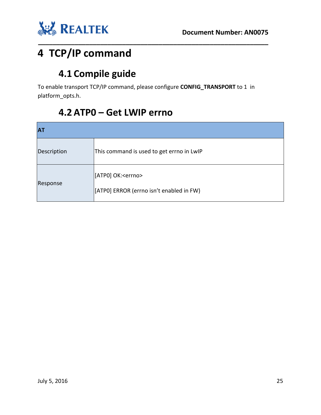

# <span id="page-24-1"></span><span id="page-24-0"></span>**4 TCP/IP command**

### **4.1 Compile guide**

To enable transport TCP/IP command, please configure **CONFIG\_TRANSPORT** to 1 in platform\_opts.h.

**\_\_\_\_\_\_\_\_\_\_\_\_\_\_\_\_\_\_\_\_\_\_\_\_\_\_\_\_\_\_\_\_\_\_\_\_\_\_\_\_\_\_\_\_\_\_\_\_\_\_\_\_\_\_\_\_\_\_\_\_\_\_\_**

### **4.2 ATP0 – Get LWIP errno**

<span id="page-24-2"></span>

| <b>AT</b>   |                                                                           |  |
|-------------|---------------------------------------------------------------------------|--|
| Description | This command is used to get errno in LwIP                                 |  |
| Response    | [[ATP0] OK: <errno><br/>[[ATP0] ERROR (errno isn't enabled in FW)</errno> |  |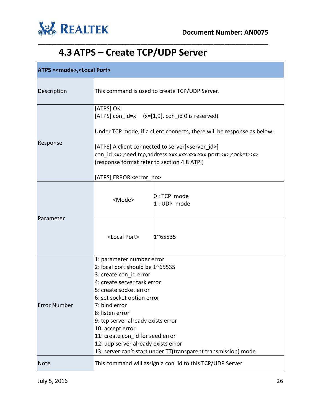

# **4.3 ATPS – Create TCP/UDP Server**

<span id="page-25-0"></span>

| <b>ATPS =<mode>,<local port=""></local></mode></b> |                                                                                                                                                                                                                                                                                                                                                                                                                          |                              |  |
|----------------------------------------------------|--------------------------------------------------------------------------------------------------------------------------------------------------------------------------------------------------------------------------------------------------------------------------------------------------------------------------------------------------------------------------------------------------------------------------|------------------------------|--|
| Description                                        | This command is used to create TCP/UDP Server.                                                                                                                                                                                                                                                                                                                                                                           |                              |  |
| Response                                           | [ATPS] OK<br>[ATPS] con $id=x$ $(x=[1,9]$ , con_id 0 is reserved)<br>Under TCP mode, if a client connects, there will be response as below:<br>[ATPS] A client connected to server[ <server id="">]<br/>con id:<x>,seed,tcp,address:xxx.xxx.xxx.xxx,port:<x>,socket:<x><br/>(response format refer to section 4.8 ATPI)<br/>[ATPS] ERROR:<error_no></error_no></x></x></x></server>                                      |                              |  |
| Parameter                                          | <mode></mode>                                                                                                                                                                                                                                                                                                                                                                                                            | $0:$ TCP mode<br>1: UDP mode |  |
|                                                    | <local port=""></local>                                                                                                                                                                                                                                                                                                                                                                                                  | $1^{\circ}65535$             |  |
| <b>Error Number</b>                                | 1: parameter number error<br>2: local port should be 1~65535<br>3: create con id error<br>4: create server task error<br>5: create socket error<br>6: set socket option error<br>7: bind error<br>8: listen error<br>9: tcp server already exists error<br>10: accept error<br>11: create con_id for seed error<br>12: udp server already exists error<br>13: server can't start under TT(transparent transmission) mode |                              |  |
| <b>Note</b>                                        | This command will assign a con_id to this TCP/UDP Server                                                                                                                                                                                                                                                                                                                                                                 |                              |  |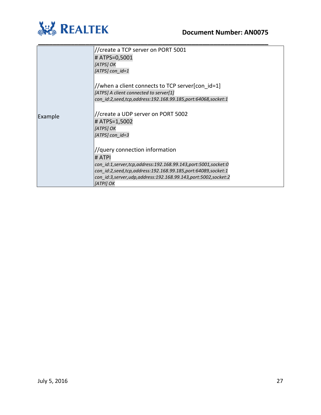

|         | //create a TCP server on PORT 5001                                                 |
|---------|------------------------------------------------------------------------------------|
|         | # ATPS=0,5001                                                                      |
|         | [ATPS] OK                                                                          |
|         | [ATPS] $con_id=1$                                                                  |
|         |                                                                                    |
|         | //when a client connects to TCP server[con id=1]                                   |
|         | [ATPS] A client connected to server[1]                                             |
|         | con id:2,seed,tcp,address:192.168.99.185,port:64068,socket:1                       |
| Example | //create a UDP server on PORT 5002                                                 |
|         | # ATPS=1,5002                                                                      |
|         | [ATPS] OK                                                                          |
|         | [ATPS] con id=3                                                                    |
|         |                                                                                    |
|         | //query connection information                                                     |
|         | # ATPI                                                                             |
|         | con id:1,server,tcp,address:192.168.99.143,port:5001,socket:0                      |
|         | con id:2,seed,tcp,address:192.168.99.185,port:64089,socket:1                       |
|         | con id:3, server, udp, address: 192.168.99.143, port: 5002, socket: 2<br>[ATPI] OK |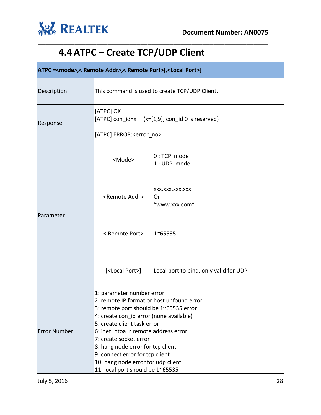

# **4.4 ATPC – Create TCP/UDP Client**

<span id="page-27-0"></span>

| ATPC = <mode>,&lt; Remote Addr&gt;,&lt; Remote Port&gt;[,<local port="">]</local></mode> |                                                                                                                                                                                                                                                                                                                                                                                                               |                                        |  |
|------------------------------------------------------------------------------------------|---------------------------------------------------------------------------------------------------------------------------------------------------------------------------------------------------------------------------------------------------------------------------------------------------------------------------------------------------------------------------------------------------------------|----------------------------------------|--|
| Description                                                                              | This command is used to create TCP/UDP Client.                                                                                                                                                                                                                                                                                                                                                                |                                        |  |
| Response                                                                                 | [ATPC] OK<br>$[ATPC]$ con_id=x $(x=[1,9], \text{con}_id 0$ is reserved)                                                                                                                                                                                                                                                                                                                                       |                                        |  |
|                                                                                          | [ATPC] ERROR: <error no=""></error>                                                                                                                                                                                                                                                                                                                                                                           |                                        |  |
| Parameter                                                                                | <mode></mode>                                                                                                                                                                                                                                                                                                                                                                                                 | $0:TCP$ mode<br>1: UDP mode            |  |
|                                                                                          | <remote addr=""></remote>                                                                                                                                                                                                                                                                                                                                                                                     | XXX.XXX.XXX.XXX<br>Or<br>"www.xxx.com" |  |
|                                                                                          | < Remote Port>                                                                                                                                                                                                                                                                                                                                                                                                | 1~65535                                |  |
|                                                                                          | [ <local port="">]</local>                                                                                                                                                                                                                                                                                                                                                                                    | Local port to bind, only valid for UDP |  |
| <b>Error Number</b>                                                                      | 1: parameter number error<br>2: remote IP format or host unfound error<br>3: remote port should be 1~65535 error<br>4: create con id error (none available)<br>5: create client task error<br>6: inet_ntoa_r remote address error<br>7: create socket error<br>8: hang node error for tcp client<br>9: connect error for tcp client<br>10: hang node error for udp client<br>11: local port should be 1~65535 |                                        |  |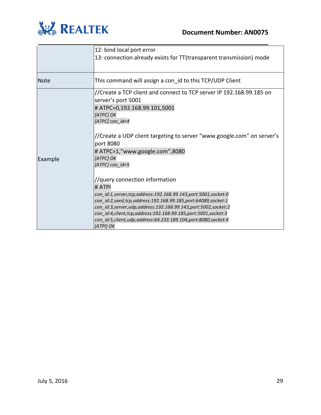

|             | 12: bind local port error                                                                                                                                                                                                                                                                                                                                                                                         |
|-------------|-------------------------------------------------------------------------------------------------------------------------------------------------------------------------------------------------------------------------------------------------------------------------------------------------------------------------------------------------------------------------------------------------------------------|
|             | 13: connection already exists for TT (transparent transmission) mode                                                                                                                                                                                                                                                                                                                                              |
| <b>Note</b> | This command will assign a con id to this TCP/UDP Client                                                                                                                                                                                                                                                                                                                                                          |
|             | //Create a TCP client and connect to TCP server IP 192.168.99.185 on<br>server's port 5001<br># ATPC=0,192.168.99.101,5001<br>[ATPC] OK<br>[ATPC] con id=4                                                                                                                                                                                                                                                        |
| Example     | //Create a UDP client targeting to server "www.google.com" on server's<br>port 8080<br># ATPC=1,"www.google.com",8080<br>[ATPC] OK<br>[ATPC] con id=5                                                                                                                                                                                                                                                             |
|             | //query connection information<br># ATPI<br>con_id:1,server,tcp,address:192.168.99.143,port:5001,socket:0<br>con id:2,seed,tcp,address:192.168.99.185,port:64089,socket:1<br>con id:3, server, udp, address: 192.168.99.143, port: 5002, socket: 2<br>con id:4, client, tcp, address: 192.168.99.185, port: 5001, socket: 3<br>con id:5, client, udp, address: 64.233.189.104, port: 8080, socket: 4<br>[ATPI] OK |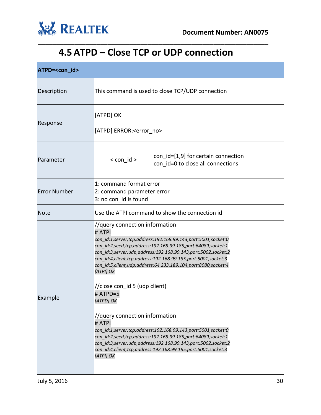

### **4.5 ATPD – Close TCP or UDP connection**

<span id="page-29-0"></span>

| ATPD= <con_id></con_id> |                                                                                                                                                                                                                                                                                                                                                                                                                                                                                                                                                                                                                                                                                                                                                                                         |                                                                          |
|-------------------------|-----------------------------------------------------------------------------------------------------------------------------------------------------------------------------------------------------------------------------------------------------------------------------------------------------------------------------------------------------------------------------------------------------------------------------------------------------------------------------------------------------------------------------------------------------------------------------------------------------------------------------------------------------------------------------------------------------------------------------------------------------------------------------------------|--------------------------------------------------------------------------|
| Description             | This command is used to close TCP/UDP connection                                                                                                                                                                                                                                                                                                                                                                                                                                                                                                                                                                                                                                                                                                                                        |                                                                          |
| Response                | [ATPD] OK<br>[ATPD] ERROR: <error no=""></error>                                                                                                                                                                                                                                                                                                                                                                                                                                                                                                                                                                                                                                                                                                                                        |                                                                          |
| Parameter               | $<$ con $id$ >                                                                                                                                                                                                                                                                                                                                                                                                                                                                                                                                                                                                                                                                                                                                                                          | con_id=[1,9] for certain connection<br>con id=0 to close all connections |
| <b>Error Number</b>     | 1: command format error<br>2: command parameter error<br>3: no con_id is found                                                                                                                                                                                                                                                                                                                                                                                                                                                                                                                                                                                                                                                                                                          |                                                                          |
| <b>Note</b>             | Use the ATPI command to show the connection id                                                                                                                                                                                                                                                                                                                                                                                                                                                                                                                                                                                                                                                                                                                                          |                                                                          |
| Example                 | //query connection information<br># ATPI<br>con_id:1,server,tcp,address:192.168.99.143,port:5001,socket:0<br>con_id:2,seed,tcp,address:192.168.99.185,port:64089,socket:1<br>con_id:3,server,udp,address:192.168.99.143,port:5002,socket:2<br>con_id:4,client,tcp,address:192.168.99.185,port:5001,socket:3<br>con_id:5,client,udp,address:64.233.189.104,port:8080,socket:4<br>[ATPI] OK<br>//close con_id 5 (udp client)<br># ATPD=5<br>[ATPD] OK<br>//query connection information<br># ATPI<br>con_id:1,server,tcp,address:192.168.99.143,port:5001,socket:0<br>con id:2,seed,tcp,address:192.168.99.185,port:64089,socket:1<br>con id:3, server, udp, address: 192.168.99.143, port: 5002, socket: 2<br>con_id:4,client,tcp,address:192.168.99.185,port:5001,socket:3<br>[ATPI] OK |                                                                          |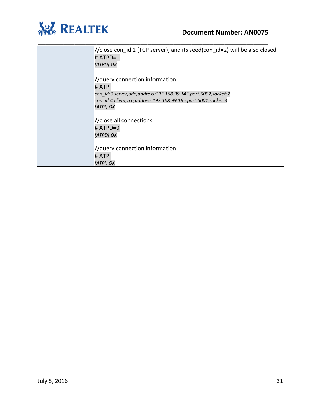

| //close con id 1 (TCP server), and its seed(con id=2) will be also closed |
|---------------------------------------------------------------------------|
| $#$ ATPD=1                                                                |
| [ATPD] OK                                                                 |
|                                                                           |
| //query connection information                                            |
| # ATPI                                                                    |
| con id:3, server, udp, address: 192.168.99.143, port: 5002, socket: 2     |
| con id:4, client, tcp, address: 192.168.99.185, port: 5001, socket: 3     |
| [ATPI] OK                                                                 |
|                                                                           |
| //close all connections                                                   |
| # ATPD=0                                                                  |
| [ATPD] OK                                                                 |
|                                                                           |
| //query connection information                                            |
| # ATPI                                                                    |
| [ATPI] OK                                                                 |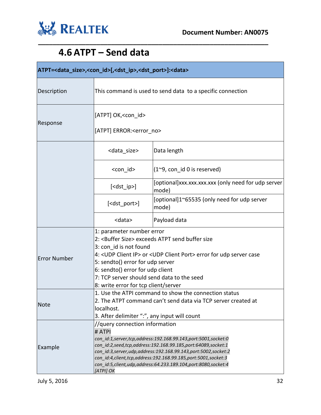

### **4.6 ATPT – Send data**

<span id="page-31-0"></span>

| ATPT= <data_size>,<con_id>[,<dst_ip>,<dst_port>]:<data></data></dst_port></dst_ip></con_id></data_size> |                                                                                                                                                                                                                                                                                                                                                                                                           |                                                              |  |
|---------------------------------------------------------------------------------------------------------|-----------------------------------------------------------------------------------------------------------------------------------------------------------------------------------------------------------------------------------------------------------------------------------------------------------------------------------------------------------------------------------------------------------|--------------------------------------------------------------|--|
| Description                                                                                             | This command is used to send data to a specific connection                                                                                                                                                                                                                                                                                                                                                |                                                              |  |
| Response                                                                                                | [ATPT] OK, < con id><br>[ATPT] ERROR: <error no=""></error>                                                                                                                                                                                                                                                                                                                                               |                                                              |  |
|                                                                                                         |                                                                                                                                                                                                                                                                                                                                                                                                           |                                                              |  |
|                                                                                                         | <data_size></data_size>                                                                                                                                                                                                                                                                                                                                                                                   | Data length                                                  |  |
|                                                                                                         | <con id=""></con>                                                                                                                                                                                                                                                                                                                                                                                         | $(1^{\sim}9, \text{con} \text{id } 0 \text{ is reserved})$   |  |
|                                                                                                         | $[<$ dst_ip>]                                                                                                                                                                                                                                                                                                                                                                                             | [optional]xxx.xxx.xxx.xxx (only need for udp server<br>mode) |  |
|                                                                                                         | [ <dst_port>]</dst_port>                                                                                                                                                                                                                                                                                                                                                                                  | [optional]1~65535 (only need for udp server<br>mode)         |  |
|                                                                                                         | <data></data>                                                                                                                                                                                                                                                                                                                                                                                             | Payload data                                                 |  |
| <b>Error Number</b>                                                                                     | 1: parameter number error<br>2: <buffer size=""> exceeds ATPT send buffer size<br/>3: con id is not found<br/>4: <udp client="" ip=""> or <udp client="" port=""> error for udp server case<br/>5: sendto() error for udp server<br/>6: sendto() error for udp client<br/>7: TCP server should send data to the seed<br/>8: write error for tcp client/server</udp></udp></buffer>                        |                                                              |  |
| Note                                                                                                    | 1. Use the ATPI command to show the connection status<br>2. The ATPT command can't send data via TCP server created at<br>localhost.<br>3. After delimiter ":", any input will count                                                                                                                                                                                                                      |                                                              |  |
| Example                                                                                                 | //query connection information<br># ATPI<br>con id:1,server,tcp,address:192.168.99.143,port:5001,socket:0<br>con id:2,seed,tcp,address:192.168.99.185,port:64089,socket:1<br>con id:3, server, udp, address: 192.168.99.143, port: 5002, socket: 2<br>con_id:4,client,tcp,address:192.168.99.185,port:5001,socket:3<br>con id:5, client, udp, address: 64.233.189.104, port: 8080, socket: 4<br>[ATPI] OK |                                                              |  |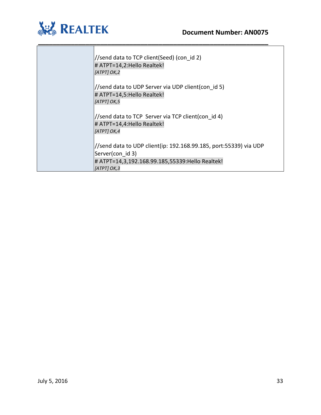

| //send data to TCP client(Seed) (con id 2)<br># ATPT=14,2: Hello Realtek!<br>[ATPT] OK,2                                                                |
|---------------------------------------------------------------------------------------------------------------------------------------------------------|
| //send data to UDP Server via UDP client(con id 5)<br># ATPT=14,5: Hello Realtek!<br>[ATPT] OK,5                                                        |
| //send data to TCP Server via TCP client(con id 4)<br># ATPT=14,4: Hello Realtek!<br>[ATPT] OK,4                                                        |
| //send data to UDP client(ip: 192.168.99.185, port:55339) via UDP<br>Server(con id 3)<br># ATPT=14,3,192.168.99.185,55339:Hello Realtek!<br>[ATT] OK, 3 |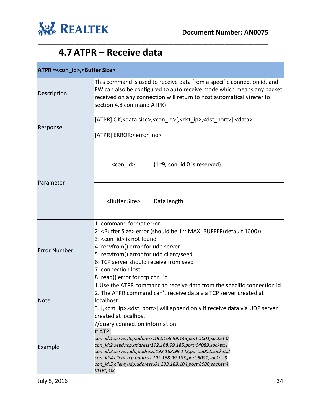



### **4.7 ATPR – Receive data**

<span id="page-33-0"></span>

| ATPR =< con id>, < Buffer Size> |                                                                                                                                                                                                                                                                                                                                                                                           |                                                    |  |
|---------------------------------|-------------------------------------------------------------------------------------------------------------------------------------------------------------------------------------------------------------------------------------------------------------------------------------------------------------------------------------------------------------------------------------------|----------------------------------------------------|--|
| Description                     | This command is used to receive data from a specific connection id, and<br>FW can also be configured to auto receive mode which means any packet<br>received on any connection will return to host automatically (refer to<br>section 4.8 command ATPK)                                                                                                                                   |                                                    |  |
| Response                        | [ATPR] OK, <data size="">,<con_id>[,<dst_ip>,<dst_port>]:<data><br/>[ATPR] ERROR:<error no=""></error></data></dst_port></dst_ip></con_id></data>                                                                                                                                                                                                                                         |                                                    |  |
| Parameter                       | <con id=""></con>                                                                                                                                                                                                                                                                                                                                                                         | $(1^{\sim}9, \text{con}_id 0 \text{ is reserved})$ |  |
|                                 | <buffer size=""></buffer>                                                                                                                                                                                                                                                                                                                                                                 | Data length                                        |  |
| <b>Error Number</b>             | 1: command format error<br>2: <buffer size=""> error (should be 1 ~ MAX_BUFFER(default 1600))<br/>3: &lt; con id&gt; is not found<br/>4: recvfrom() error for udp server<br/>5: recvfrom() error for udp client/seed<br/>6: TCP server should receive from seed<br/>7: connection lost<br/>8: read() error for tcp con_id</buffer>                                                        |                                                    |  |
| Note                            | 1. Use the ATPR command to receive data from the specific connection id<br>2. The ATPR command can't receive data via TCP server created at<br>localhost.<br>3. [, <dst ip="">,<dst port="">] will append only if receive data via UDP server<br/>created at localhost</dst></dst>                                                                                                        |                                                    |  |
| Example                         | //query connection information<br># ATPI<br>con id:1,server,tcp,address:192.168.99.143,port:5001,socket:0<br>con_id:2,seed,tcp,address:192.168.99.185,port:64089,socket:1<br>con id:3,server,udp,address:192.168.99.143,port:5002,socket:2<br>con_id:4,client,tcp,address:192.168.99.185,port:5001,socket:3<br>con_id:5,client,udp,address:64.233.189.104,port:8080,socket:4<br>[ATPI] OK |                                                    |  |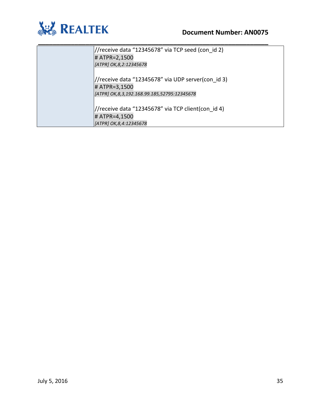



| //receive data "12345678" via TCP seed (con id 2)  |
|----------------------------------------------------|
| # ATPR=2,1500                                      |
| [ATPR] OK, 8, 2:12345678                           |
|                                                    |
| //receive data "12345678" via UDP server(con id 3) |
| # ATPR=3,1500                                      |
| [ATPR] OK, 8, 3, 192.168.99.185, 52795: 12345678   |
|                                                    |
| //receive data "12345678" via TCP client(con id 4) |
| # ATPR=4,1500                                      |
| [ATPR] OK, 8, 4: 12345678                          |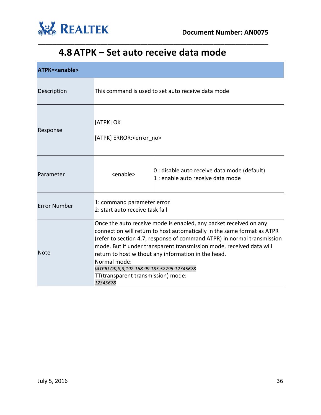

### **4.8 ATPK – Set auto receive data mode**

<span id="page-35-0"></span>

| <b>ATPK=<enable></enable></b> |                                                                                                                                                                                                                                                                                                                                                                                                                                                                         |                                                                                   |  |
|-------------------------------|-------------------------------------------------------------------------------------------------------------------------------------------------------------------------------------------------------------------------------------------------------------------------------------------------------------------------------------------------------------------------------------------------------------------------------------------------------------------------|-----------------------------------------------------------------------------------|--|
| Description                   | This command is used to set auto receive data mode                                                                                                                                                                                                                                                                                                                                                                                                                      |                                                                                   |  |
| Response                      | [ATPK] OK<br>[ATPK] ERROR: <error_no></error_no>                                                                                                                                                                                                                                                                                                                                                                                                                        |                                                                                   |  |
| Parameter                     | <enable></enable>                                                                                                                                                                                                                                                                                                                                                                                                                                                       | 0 : disable auto receive data mode (default)<br>1 : enable auto receive data mode |  |
| <b>Error Number</b>           | 1: command parameter error<br>2: start auto receive task fail                                                                                                                                                                                                                                                                                                                                                                                                           |                                                                                   |  |
| <b>Note</b>                   | Once the auto receive mode is enabled, any packet received on any<br>connection will return to host automatically in the same format as ATPR<br>(refer to section 4.7, response of command ATPR) in normal transmission<br>mode. But if under transparent transmission mode, received data will<br>return to host without any information in the head.<br>Normal mode:<br>[ATPR] OK,8,3,192.168.99.185,52795:12345678<br>TT(transparent transmission) mode:<br>12345678 |                                                                                   |  |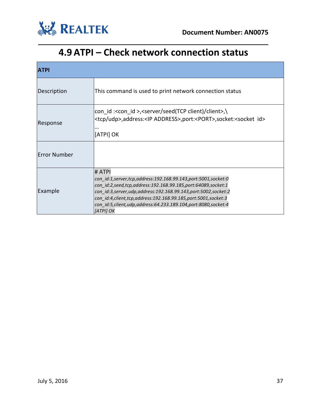

### **4.9 ATPI – Check network connection status**

<span id="page-36-0"></span>

| <b>ATPI</b>         |                                                                                                                                                                                                                                                                                                                                                                         |  |  |
|---------------------|-------------------------------------------------------------------------------------------------------------------------------------------------------------------------------------------------------------------------------------------------------------------------------------------------------------------------------------------------------------------------|--|--|
| Description         | This command is used to print network connection status                                                                                                                                                                                                                                                                                                                 |  |  |
| Response            | con id : <con id="">,<server client="" client)="" seed(tcp="">,\<br/><tcp udp="">,address:<ip address="">,port:<port>,socket:<socket id=""><br/>[ATPI] OK</socket></port></ip></tcp></server></con>                                                                                                                                                                     |  |  |
| <b>Error Number</b> |                                                                                                                                                                                                                                                                                                                                                                         |  |  |
| Example             | # ATPI<br>con id:1,server,tcp,address:192.168.99.143,port:5001,socket:0<br>con id:2,seed,tcp,address:192.168.99.185,port:64089,socket:1<br>con id:3, server, udp, address: 192.168.99.143, port: 5002, socket: 2<br>con id:4, client, tcp, address: 192.168.99.185, port: 5001, socket: 3<br>con id:5,client,udp,address:64.233.189.104,port:8080,socket:4<br>[ATPI] OK |  |  |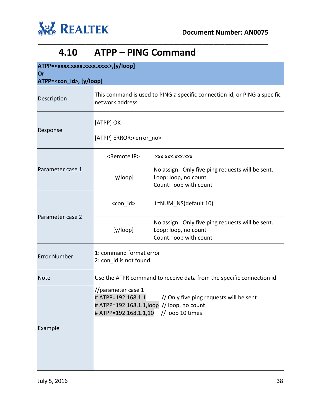



#### **4.10 ATPP – PING Command**

<span id="page-37-0"></span>

| ATPP= <xxxx.xxxx.xxxx.xxxx>,[y/loop]</xxxx.xxxx.xxxx.xxxx> |                                                                                                                                                                                |                                                                                                    |  |
|------------------------------------------------------------|--------------------------------------------------------------------------------------------------------------------------------------------------------------------------------|----------------------------------------------------------------------------------------------------|--|
| <b>Or</b><br>ATPP= <con_id>, [y/loop]</con_id>             |                                                                                                                                                                                |                                                                                                    |  |
| Description                                                | This command is used to PING a specific connection id, or PING a specific<br>network address                                                                                   |                                                                                                    |  |
| Response                                                   | [ATPP] OK<br>[ATPP] ERROR: <error no=""></error>                                                                                                                               |                                                                                                    |  |
|                                                            | <remote ip=""></remote>                                                                                                                                                        | XXX.XXX.XXX.XXX                                                                                    |  |
| Parameter case 1                                           | [y/loop]                                                                                                                                                                       | No assign: Only five ping requests will be sent.<br>Loop: loop, no count<br>Count: loop with count |  |
| Parameter case 2                                           | <con id=""></con>                                                                                                                                                              | 1~NUM NS(default 10)                                                                               |  |
|                                                            | [y/loop]                                                                                                                                                                       | No assign: Only five ping requests will be sent.<br>Loop: loop, no count<br>Count: loop with count |  |
| <b>Error Number</b>                                        | 1: command format error<br>2: con_id is not found                                                                                                                              |                                                                                                    |  |
| <b>Note</b>                                                | Use the ATPR command to receive data from the specific connection id                                                                                                           |                                                                                                    |  |
| Example                                                    | //parameter case 1<br># ATPP=192.168.1.1<br>// Only five ping requests will be sent<br># ATPP=192.168.1.1, loop // loop, no count<br>// loop 10 times<br># ATPP=192.168.1.1,10 |                                                                                                    |  |
|                                                            |                                                                                                                                                                                |                                                                                                    |  |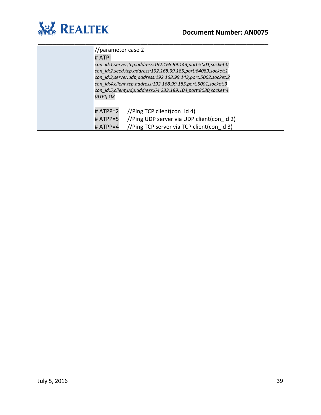

| //parameter case 2                                                                                                                                                                                                                                                                                                                                                    |  |  |
|-----------------------------------------------------------------------------------------------------------------------------------------------------------------------------------------------------------------------------------------------------------------------------------------------------------------------------------------------------------------------|--|--|
| # ATPI                                                                                                                                                                                                                                                                                                                                                                |  |  |
| con id:1,server,tcp,address:192.168.99.143,port:5001,socket:0<br>con id:2,seed,tcp,address:192.168.99.185,port:64089,socket:1<br>con id:3, server, udp, address: 192.168.99.143, port: 5002, socket: 2<br>con id:4, client, tcp, address: 192.168.99.185, port: 5001, socket: 3<br>con id:5, client, udp, address: 64.233.189.104, port: 8080, socket: 4<br>[ATPI] OK |  |  |
| $\#$ ATPP=2 //Ping TCP client(con id 4)                                                                                                                                                                                                                                                                                                                               |  |  |
| $\#$ ATPP=5 //Ping UDP server via UDP client(con id 2)                                                                                                                                                                                                                                                                                                                |  |  |
| //Ping TCP server via TCP client(con id 3)<br># ATPP=4                                                                                                                                                                                                                                                                                                                |  |  |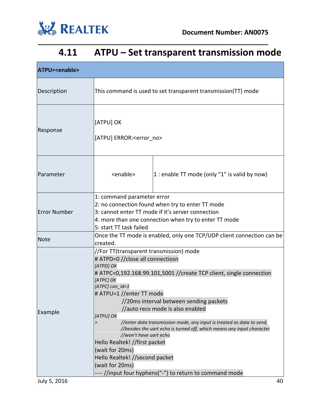

### **4.11 ATPU – Set transparent transmission mode**

<span id="page-39-0"></span>

| ATPU= <enable></enable> |                                                                                                                                                                                                                                                                                                                                                                                                                                                                                                                                                                                                                                                                                       |                                                 |  |
|-------------------------|---------------------------------------------------------------------------------------------------------------------------------------------------------------------------------------------------------------------------------------------------------------------------------------------------------------------------------------------------------------------------------------------------------------------------------------------------------------------------------------------------------------------------------------------------------------------------------------------------------------------------------------------------------------------------------------|-------------------------------------------------|--|
| Description             | This command is used to set transparent transmission(TT) mode                                                                                                                                                                                                                                                                                                                                                                                                                                                                                                                                                                                                                         |                                                 |  |
| Response                | [ATPU] OK<br>[ATPU] ERROR: <error no=""></error>                                                                                                                                                                                                                                                                                                                                                                                                                                                                                                                                                                                                                                      |                                                 |  |
| Parameter               | <enable></enable>                                                                                                                                                                                                                                                                                                                                                                                                                                                                                                                                                                                                                                                                     | $ 1:$ enable TT mode (only "1" is valid by now) |  |
| <b>Error Number</b>     | 1: command parameter error<br>2: no connection found when try to enter TT mode<br>3: cannot enter TT mode if it's server connection<br>4: more than one connection when try to enter TT mode<br>5: start TT task failed                                                                                                                                                                                                                                                                                                                                                                                                                                                               |                                                 |  |
| <b>Note</b>             | Once the TT mode is enabled, only one TCP/UDP client connection can be                                                                                                                                                                                                                                                                                                                                                                                                                                                                                                                                                                                                                |                                                 |  |
| Example                 | created.<br>//For TT(transparent transmission) mode<br># ATPD=0 //close all connectiosn<br>[ATPD] OK<br># ATPC=0,192.168.99.101,5001 //create TCP client, single connection<br>[ATPC] OK<br>[ATPC] con_id=1<br># ATPU=1 //enter TT mode<br>//20ms interval between sending packets<br>//auto recv mode is also enabled<br>[ATPU] OK<br>//enter data transmission mode, any input is treated as data to send,<br>//besides the uart echo is turned off, which means any input character<br>//won't have uart echo<br>Hello Realtek! //first packet<br>(wait for 20ms)<br>Hello Realtek! //second packet<br>(wait for 20ms)<br>---- //input four hyphens("-") to return to command mode |                                                 |  |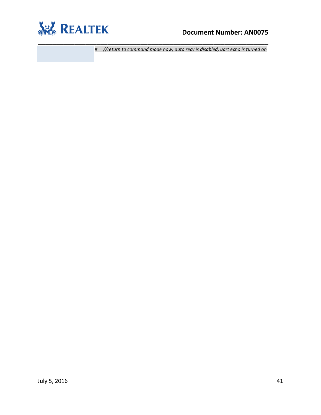

#### **Document Number: AN0075**

*# //return to command mode now, auto recv is disabled, uart echo is turned on*